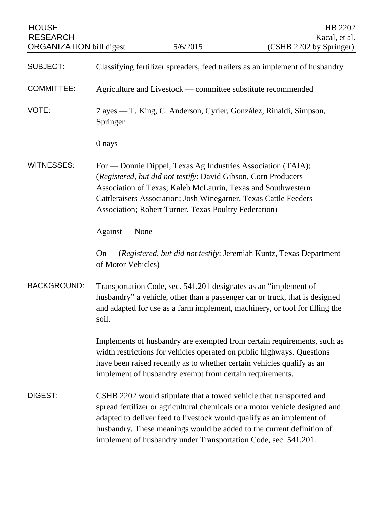| <b>HOUSE</b><br><b>RESEARCH</b><br><b>ORGANIZATION</b> bill digest |                                                                                                                                                                                                                                                                                                                                               | 5/6/2015                                                                                                                                                                                                        | HB 2202<br>Kacal, et al.<br>(CSHB 2202 by Springer)                                                                                                        |
|--------------------------------------------------------------------|-----------------------------------------------------------------------------------------------------------------------------------------------------------------------------------------------------------------------------------------------------------------------------------------------------------------------------------------------|-----------------------------------------------------------------------------------------------------------------------------------------------------------------------------------------------------------------|------------------------------------------------------------------------------------------------------------------------------------------------------------|
|                                                                    |                                                                                                                                                                                                                                                                                                                                               |                                                                                                                                                                                                                 |                                                                                                                                                            |
| <b>SUBJECT:</b>                                                    |                                                                                                                                                                                                                                                                                                                                               |                                                                                                                                                                                                                 | Classifying fertilizer spreaders, feed trailers as an implement of husbandry                                                                               |
| <b>COMMITTEE:</b>                                                  | Agriculture and Livestock — committee substitute recommended                                                                                                                                                                                                                                                                                  |                                                                                                                                                                                                                 |                                                                                                                                                            |
| VOTE:                                                              | 7 ayes — T. King, C. Anderson, Cyrier, González, Rinaldi, Simpson,<br>Springer                                                                                                                                                                                                                                                                |                                                                                                                                                                                                                 |                                                                                                                                                            |
|                                                                    | 0 nays                                                                                                                                                                                                                                                                                                                                        |                                                                                                                                                                                                                 |                                                                                                                                                            |
| <b>WITNESSES:</b>                                                  | For — Donnie Dippel, Texas Ag Industries Association (TAIA);<br>(Registered, but did not testify: David Gibson, Corn Producers<br>Association of Texas; Kaleb McLaurin, Texas and Southwestern<br>Cattleraisers Association; Josh Winegarner, Texas Cattle Feeders<br>Association; Robert Turner, Texas Poultry Federation)<br>Against — None |                                                                                                                                                                                                                 |                                                                                                                                                            |
|                                                                    |                                                                                                                                                                                                                                                                                                                                               |                                                                                                                                                                                                                 |                                                                                                                                                            |
|                                                                    | of Motor Vehicles)                                                                                                                                                                                                                                                                                                                            |                                                                                                                                                                                                                 | On — (Registered, but did not testify: Jeremiah Kuntz, Texas Department                                                                                    |
| <b>BACKGROUND:</b>                                                 | soil.                                                                                                                                                                                                                                                                                                                                         | Transportation Code, sec. 541.201 designates as an "implement of                                                                                                                                                | husbandry" a vehicle, other than a passenger car or truck, that is designed<br>and adapted for use as a farm implement, machinery, or tool for tilling the |
|                                                                    |                                                                                                                                                                                                                                                                                                                                               | width restrictions for vehicles operated on public highways. Questions<br>have been raised recently as to whether certain vehicles qualify as an<br>implement of husbandry exempt from certain requirements.    | Implements of husbandry are exempted from certain requirements, such as                                                                                    |
| DIGEST:                                                            |                                                                                                                                                                                                                                                                                                                                               | CSHB 2202 would stipulate that a towed vehicle that transported and<br>adapted to deliver feed to livestock would qualify as an implement of<br>implement of husbandry under Transportation Code, sec. 541.201. | spread fertilizer or agricultural chemicals or a motor vehicle designed and<br>husbandry. These meanings would be added to the current definition of       |